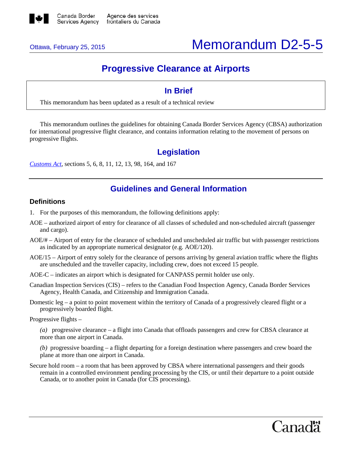

# Ottawa, February 25, 2015 **Memorandum D2-5-5**

## **Progressive Clearance at Airports**

## **In Brief**

This memorandum has been updated as a result of a technical review

This memorandum outlines the guidelines for obtaining Canada Border Services Agency (CBSA) authorization for international progressive flight clearance, and contains information relating to the movement of persons on progressive flights.

### **Legislation**

*[Customs](http://lois-laws.justice.gc.ca/eng/acts/C-52.6/) Act*, sections 5, 6, 8, 11, 12, 13, 98, 164, and 167

## **Guidelines and General Information**

#### **Definitions**

- 1. For the purposes of this memorandum, the following definitions apply:
- AOE authorized airport of entry for clearance of all classes of scheduled and non-scheduled aircraft (passenger and cargo).
- AOE/# Airport of entry for the clearance of scheduled and unscheduled air traffic but with passenger restrictions as indicated by an appropriate numerical designator (e.g. AOE/120).
- AOE/15 Airport of entry solely for the clearance of persons arriving by general aviation traffic where the flights are unscheduled and the traveller capacity, including crew, does not exceed 15 people.
- AOE-C indicates an airport which is designated for CANPASS permit holder use only.
- Canadian Inspection Services (CIS) refers to the Canadian Food Inspection Agency, Canada Border Services Agency, Health Canada, and Citizenship and Immigration Canada.
- Domestic leg a point to point movement within the territory of Canada of a progressively cleared flight or a progressively boarded flight.
- Progressive flights
	- *(a)* progressive clearance a flight into Canada that offloads passengers and crew for CBSA clearance at more than one airport in Canada.
	- *(b)* progressive boarding a flight departing for a foreign destination where passengers and crew board the plane at more than one airport in Canada.
- Secure hold room a room that has been approved by CBSA where international passengers and their goods remain in a controlled environment pending processing by the CIS, or until their departure to a point outside Canada, or to another point in Canada (for CIS processing).

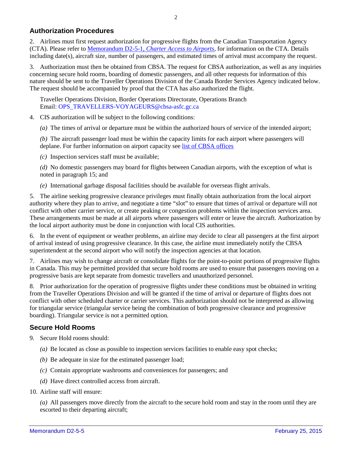#### **Authorization Procedures**

2. Airlines must first request authorization for progressive flights from the Canadian Transportation Agency (CTA). Please refer to [Memorandum](http://www.cbsa.gc.ca/publications/dm-md/d2/d2-5-1-eng.html) D2-5-1, *Charter Access to Airports,* for information on the CTA. Details including date(s), aircraft size, number of passengers, and estimated times of arrival must accompany the request.

3. Authorization must then be obtained from CBSA. The request for CBSA authorization, as well as any inquiries concerning secure hold rooms, boarding of domestic passengers, and all other requests for information of this nature should be sent to the Traveller Operations Division of the Canada Border Services Agency indicated below. The request should be accompanied by proof that the CTA has also authorized the flight.

Traveller Operations Division, Border Operations Directorate, Operations Branch Email: [OPS\\_TRAVELLERS-VOYAGEURS@cbsa-asfc.gc.ca](mailto:OPS_TRAVELLERS-VOYAGEURS@cbsa-asfc.gc.ca)

4. CIS authorization will be subject to the following conditions:

*(a)* The times of arrival or departure must be within the authorized hours of service of the intended airport;

*(b)* The aircraft passenger load must be within the capacity limits for each airport where passengers will deplane. For further information on airport capacity see list of CBSA [offices](http://www.cbsa-asfc.gc.ca/do-rb/services/aoe-eng.html)

*(c)* Inspection services staff must be available;

*(d)* No domestic passengers may board for flights between Canadian airports, with the exception of what is noted in paragraph 15; and

*(e)* International garbage disposal facilities should be available for overseas flight arrivals.

5. The airline seeking progressive clearance privileges must finally obtain authorization from the local airport authority where they plan to arrive, and negotiate a time "slot" to ensure that times of arrival or departure will not conflict with other carrier service, or create peaking or congestion problems within the inspection services area. These arrangements must be made at all airports where passengers will enter or leave the aircraft. Authorization by the local airport authority must be done in conjunction with local CIS authorities.

6. In the event of equipment or weather problems, an airline may decide to clear all passengers at the first airport of arrival instead of using progressive clearance. In this case, the airline must immediately notify the CBSA superintendent at the second airport who will notify the inspection agencies at that location.

7. Airlines may wish to change aircraft or consolidate flights for the point-to-point portions of progressive flights in Canada. This may be permitted provided that secure hold rooms are used to ensure that passengers moving on a progressive basis are kept separate from domestic travellers and unauthorized personnel.

8. Prior authorization for the operation of progressive flights under these conditions must be obtained in writing from the Traveller Operations Division and will be granted if the time of arrival or departure of flights does not conflict with other scheduled charter or carrier services. This authorization should not be interpreted as allowing for triangular service (triangular service being the combination of both progressive clearance and progressive boarding). Triangular service is not a permitted option.

#### **Secure Hold Rooms**

- 9. Secure Hold rooms should:
	- *(a)* Be located as close as possible to inspection services facilities to enable easy spot checks;
	- *(b)* Be adequate in size for the estimated passenger load;
	- *(c)* Contain appropriate washrooms and conveniences for passengers; and
	- *(d)* Have direct controlled access from aircraft.
- 10. Airline staff will ensure:

*(a)* All passengers move directly from the aircraft to the secure hold room and stay in the room until they are escorted to their departing aircraft;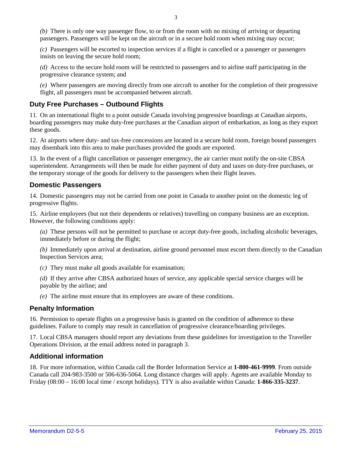*(b)* There is only one way passenger flow, to or from the room with no mixing of arriving or departing passengers. Passengers will be kept on the aircraft or in a secure hold room when mixing may occur;

*(c)* Passengers will be escorted to inspection services if a flight is cancelled or a passenger or passengers insists on leaving the secure hold room;

*(d)* Access to the secure hold room will be restricted to passengers and to airline staff participating in the progressive clearance system; and

*(e)* Where passengers are moving directly from one aircraft to another for the completion of their progressive flight, all passengers must be accompanied between aircraft.

#### **Duty Free Purchases – Outbound Flights**

11. On an international flight to a point outside Canada involving progressive boardings at Canadian airports, boarding passengers may make duty-free purchases at the Canadian airport of embarkation, as long as they export these goods.

12. At airports where duty- and tax-free concessions are located in a secure hold room, foreign bound passengers may disembark into this area to make purchases provided the goods are exported.

13. In the event of a flight cancellation or passenger emergency, the air carrier must notify the on-site CBSA superintendent. Arrangements will then be made for either payment of duty and taxes on duty-free purchases, or the temporary storage of the goods for delivery to the passengers when their flight leaves.

#### **Domestic Passengers**

14. Domestic passengers may not be carried from one point in Canada to another point on the domestic leg of progressive flights.

15. Airline employees (but not their dependents or relatives) travelling on company business are an exception. However, the following conditions apply:

*(a)* These persons will not be permitted to purchase or accept duty-free goods, including alcoholic beverages, immediately before or during the flight;

*(b)* Immediately upon arrival at destination, airline ground personnel must escort them directly to the Canadian Inspection Services area;

*(c)* They must make all goods available for examination;

*(d)* If they arrive after CBSA authorized hours of service, any applicable special service charges will be payable by the airline; and

*(e)* The airline must ensure that its employees are aware of these conditions.

#### **Penalty Information**

16. Permission to operate flights on a progressive basis is granted on the condition of adherence to these guidelines. Failure to comply may result in cancellation of progressive clearance/boarding privileges.

17. Local CBSA managers should report any deviations from these guidelines for investigation to the Traveller Operations Division, at the email address noted in paragraph 3.

#### **Additional information**

18. For more information, within Canada call the Border Information Service at **1-800-461-9999**. From outside Canada call 204-983-3500 or 506-636-5064. Long distance charges will apply. Agents are available Monday to Friday (08:00 – 16:00 local time / except holidays). TTY is also available within Canada: **1-866-335-3237**.